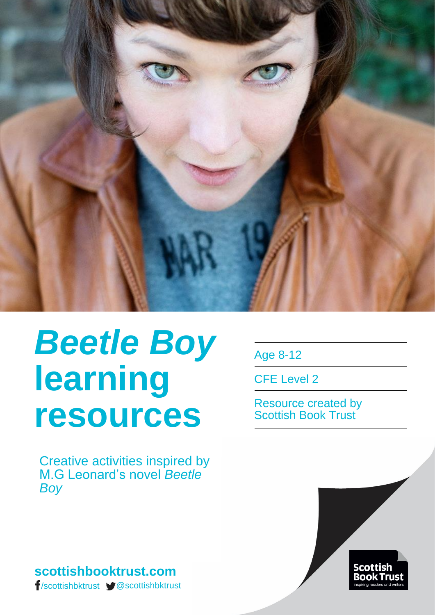

# *Beetle Boy* **learning resources**

Creative activities inspired by M.G Leonard's novel *Beetle Boy*

**scottishbooktrust.com** /scottishbktrust @scottishbktrust Age 8-12

CFE Level 2

Resource created by Scottish Book Trust

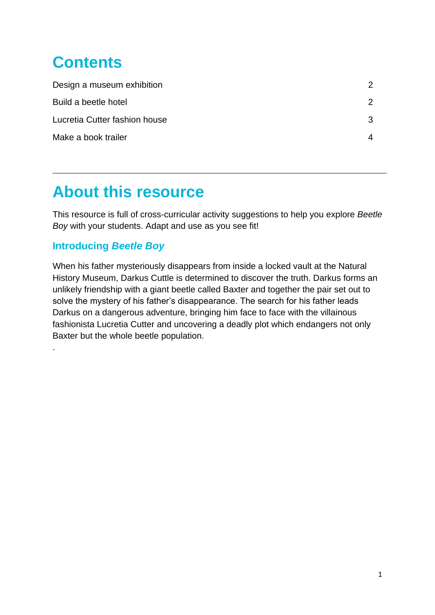## **Contents**

| Design a museum exhibition    |    |
|-------------------------------|----|
| Build a beetle hotel          | 2. |
| Lucretia Cutter fashion house | 3  |
| Make a book trailer           | 4  |

### **About this resource**

This resource is full of cross-curricular activity suggestions to help you explore *Beetle Boy* with your students. Adapt and use as you see fit!

#### **Introducing** *Beetle Boy*

.

When his father mysteriously disappears from inside a locked vault at the Natural History Museum, Darkus Cuttle is determined to discover the truth. Darkus forms an unlikely friendship with a giant beetle called Baxter and together the pair set out to solve the mystery of his father's disappearance. The search for his father leads Darkus on a dangerous adventure, bringing him face to face with the villainous fashionista Lucretia Cutter and uncovering a deadly plot which endangers not only Baxter but the whole beetle population.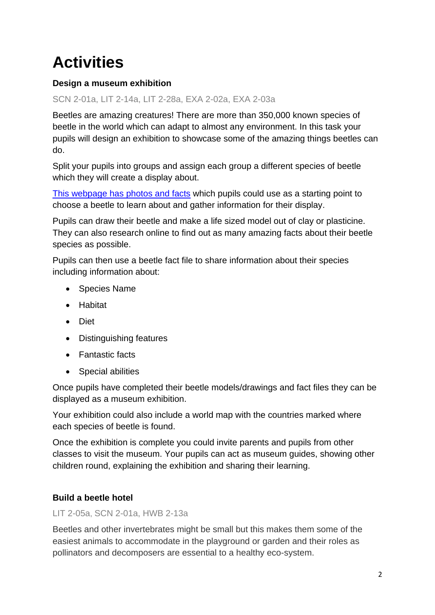## **Activities**

#### **Design a museum exhibition**

#### SCN 2-01a, LIT 2-14a, LIT 2-28a, EXA 2-02a, EXA 2-03a

Beetles are amazing creatures! There are more than 350,000 known species of beetle in the world which can adapt to almost any environment. In this task your pupils will design an exhibition to showcase some of the amazing things beetles can do.

Split your pupils into groups and assign each group a different species of beetle which they will create a display about.

[This webpage has](https://www.mnn.com/earth-matters/animals/photos/12-unbelievable-beetle-species/jewel-beetles#top-desktop) photos and facts which pupils could use as a starting point to choose a beetle to learn about and gather information for their display.

Pupils can draw their beetle and make a life sized model out of clay or plasticine. They can also research online to find out as many amazing facts about their beetle species as possible.

Pupils can then use a beetle fact file to share information about their species including information about:

- Species Name
- Habitat
- Diet
- Distinguishing features
- Fantastic facts
- Special abilities

Once pupils have completed their beetle models/drawings and fact files they can be displayed as a museum exhibition.

Your exhibition could also include a world map with the countries marked where each species of beetle is found.

Once the exhibition is complete you could invite parents and pupils from other classes to visit the museum. Your pupils can act as museum guides, showing other children round, explaining the exhibition and sharing their learning.

#### **Build a beetle hotel**

#### LIT 2-05a, SCN 2-01a, HWB 2-13a

Beetles and other invertebrates might be small but this makes them some of the easiest animals to accommodate in the playground or garden and their roles as pollinators and decomposers are essential to a healthy eco-system.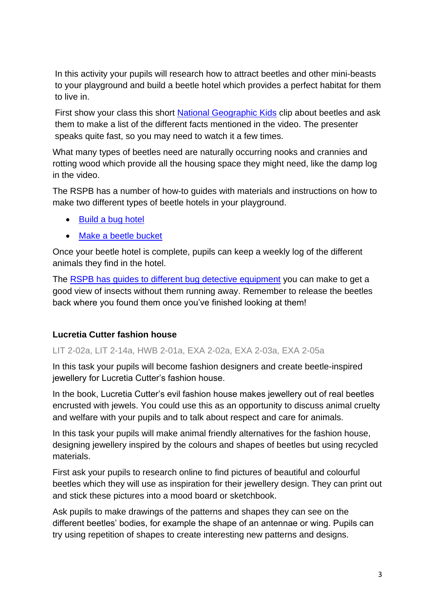In this activity your pupils will research how to attract beetles and other mini-beasts to your playground and build a beetle hotel which provides a perfect habitat for them to live in.

First show your class this short [National Geographic Kids](https://www.youtube.com/watch?v=veY5fyt66cg) clip about beetles and ask them to make a list of the different facts mentioned in the video. The presenter speaks quite fast, so you may need to watch it a few times.

What many types of beetles need are naturally occurring nooks and crannies and rotting wood which provide all the housing space they might need, like the damp log in the video.

The RSPB has a number of how-to guides with materials and instructions on how to make two different types of beetle hotels in your playground.

- [Build a bug hotel](https://ww2.rspb.org.uk/makeahomeforwildlife/givenatureahomeinyourgarden/gardenactivities/build-a-bug-hotel/)
- [Make a beetle bucket](http://ww2.rspb.org.uk/Images/beetlebucket_tcm9-403532.pdf)

Once your beetle hotel is complete, pupils can keep a weekly log of the different animals they find in the hotel.

The [RSPB has guides to different bug detective equipment](http://www.rspb.org.uk/Images/bottle_bug_catcher_tcm9-403533.pdf) you can make to get a good view of insects without them running away. Remember to release the beetles back where you found them once you've finished looking at them!

#### **Lucretia Cutter fashion house**

LIT 2-02a, LIT 2-14a, HWB 2-01a, EXA 2-02a, EXA 2-03a, EXA 2-05a

In this task your pupils will become fashion designers and create beetle-inspired jewellery for Lucretia Cutter's fashion house.

In the book, Lucretia Cutter's evil fashion house makes jewellery out of real beetles encrusted with jewels. You could use this as an opportunity to discuss animal cruelty and welfare with your pupils and to talk about respect and care for animals.

In this task your pupils will make animal friendly alternatives for the fashion house, designing jewellery inspired by the colours and shapes of beetles but using recycled materials.

First ask your pupils to research online to find pictures of beautiful and colourful beetles which they will use as inspiration for their jewellery design. They can print out and stick these pictures into a mood board or sketchbook.

Ask pupils to make drawings of the patterns and shapes they can see on the different beetles' bodies, for example the shape of an antennae or wing. Pupils can try using repetition of shapes to create interesting new patterns and designs.